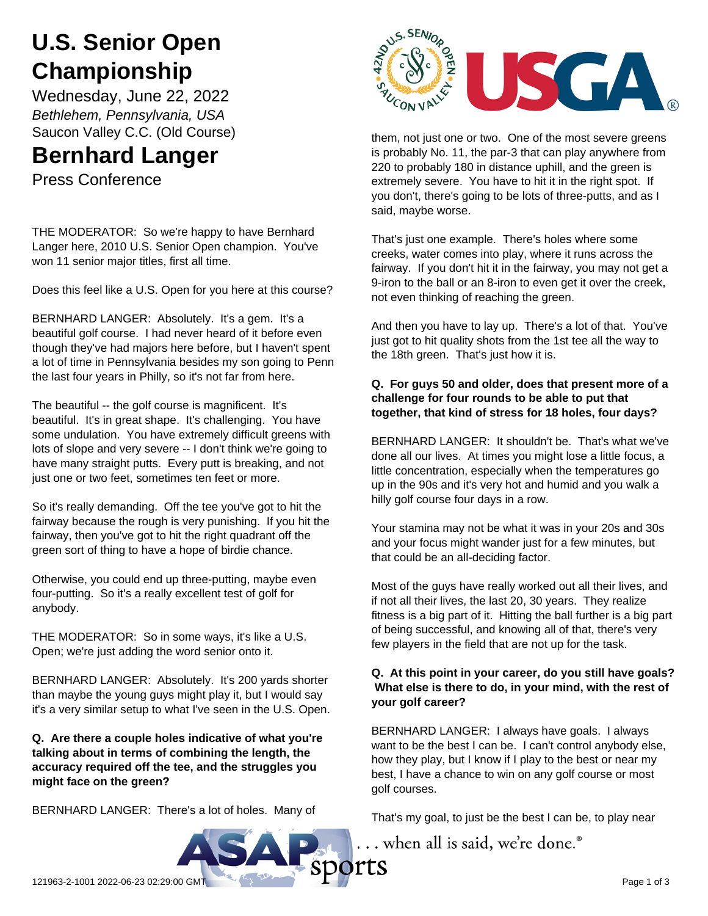# **U.S. Senior Open Championship**

Wednesday, June 22, 2022 *Bethlehem, Pennsylvania, USA* Saucon Valley C.C. (Old Course)

# **Bernhard Langer**

Press Conference

THE MODERATOR: So we're happy to have Bernhard Langer here, 2010 U.S. Senior Open champion. You've won 11 senior major titles, first all time.

Does this feel like a U.S. Open for you here at this course?

BERNHARD LANGER: Absolutely. It's a gem. It's a beautiful golf course. I had never heard of it before even though they've had majors here before, but I haven't spent a lot of time in Pennsylvania besides my son going to Penn the last four years in Philly, so it's not far from here.

The beautiful -- the golf course is magnificent. It's beautiful. It's in great shape. It's challenging. You have some undulation. You have extremely difficult greens with lots of slope and very severe -- I don't think we're going to have many straight putts. Every putt is breaking, and not just one or two feet, sometimes ten feet or more.

So it's really demanding. Off the tee you've got to hit the fairway because the rough is very punishing. If you hit the fairway, then you've got to hit the right quadrant off the green sort of thing to have a hope of birdie chance.

Otherwise, you could end up three-putting, maybe even four-putting. So it's a really excellent test of golf for anybody.

THE MODERATOR: So in some ways, it's like a U.S. Open; we're just adding the word senior onto it.

BERNHARD LANGER: Absolutely. It's 200 yards shorter than maybe the young guys might play it, but I would say it's a very similar setup to what I've seen in the U.S. Open.

#### **Q. Are there a couple holes indicative of what you're talking about in terms of combining the length, the accuracy required off the tee, and the struggles you might face on the green?**

BERNHARD LANGER: There's a lot of holes. Many of



them, not just one or two. One of the most severe greens is probably No. 11, the par-3 that can play anywhere from 220 to probably 180 in distance uphill, and the green is extremely severe. You have to hit it in the right spot. If you don't, there's going to be lots of three-putts, and as I said, maybe worse.

That's just one example. There's holes where some creeks, water comes into play, where it runs across the fairway. If you don't hit it in the fairway, you may not get a 9-iron to the ball or an 8-iron to even get it over the creek, not even thinking of reaching the green.

And then you have to lay up. There's a lot of that. You've just got to hit quality shots from the 1st tee all the way to the 18th green. That's just how it is.

## **Q. For guys 50 and older, does that present more of a challenge for four rounds to be able to put that together, that kind of stress for 18 holes, four days?**

BERNHARD LANGER: It shouldn't be. That's what we've done all our lives. At times you might lose a little focus, a little concentration, especially when the temperatures go up in the 90s and it's very hot and humid and you walk a hilly golf course four days in a row.

Your stamina may not be what it was in your 20s and 30s and your focus might wander just for a few minutes, but that could be an all-deciding factor.

Most of the guys have really worked out all their lives, and if not all their lives, the last 20, 30 years. They realize fitness is a big part of it. Hitting the ball further is a big part of being successful, and knowing all of that, there's very few players in the field that are not up for the task.

#### **Q. At this point in your career, do you still have goals? What else is there to do, in your mind, with the rest of your golf career?**

BERNHARD LANGER: I always have goals. I always want to be the best I can be. I can't control anybody else, how they play, but I know if I play to the best or near my best, I have a chance to win on any golf course or most golf courses.

That's my goal, to just be the best I can be, to play near

.. when all is said, we're done.<sup>®</sup>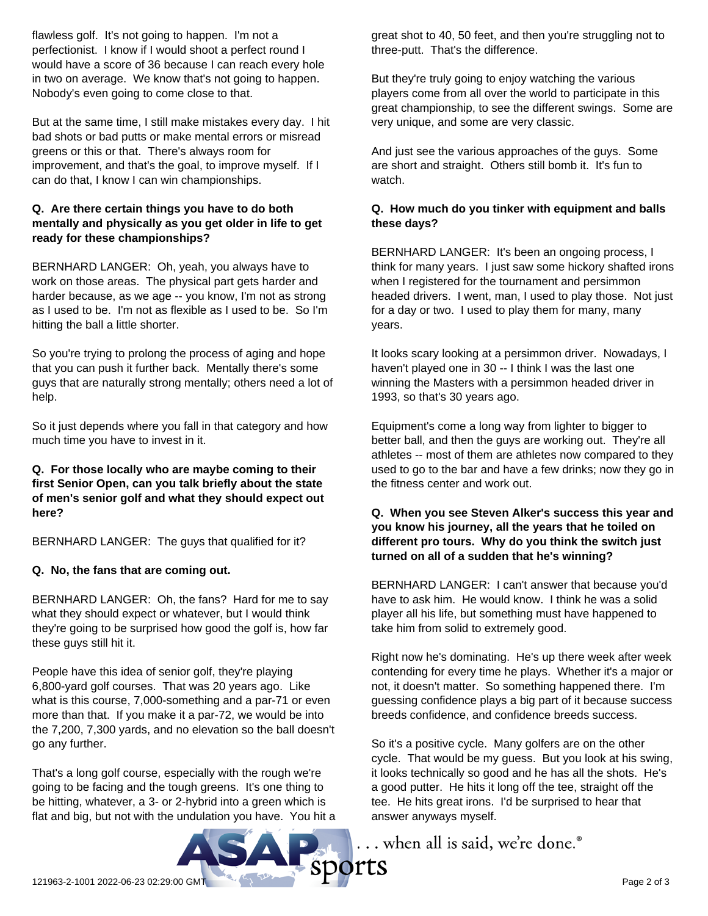flawless golf. It's not going to happen. I'm not a perfectionist. I know if I would shoot a perfect round I would have a score of 36 because I can reach every hole in two on average. We know that's not going to happen. Nobody's even going to come close to that.

But at the same time, I still make mistakes every day. I hit bad shots or bad putts or make mental errors or misread greens or this or that. There's always room for improvement, and that's the goal, to improve myself. If I can do that, I know I can win championships.

#### **Q. Are there certain things you have to do both mentally and physically as you get older in life to get ready for these championships?**

BERNHARD LANGER: Oh, yeah, you always have to work on those areas. The physical part gets harder and harder because, as we age -- you know, I'm not as strong as I used to be. I'm not as flexible as I used to be. So I'm hitting the ball a little shorter.

So you're trying to prolong the process of aging and hope that you can push it further back. Mentally there's some guys that are naturally strong mentally; others need a lot of help.

So it just depends where you fall in that category and how much time you have to invest in it.

**Q. For those locally who are maybe coming to their first Senior Open, can you talk briefly about the state of men's senior golf and what they should expect out here?**

BERNHARD LANGER: The guys that qualified for it?

#### **Q. No, the fans that are coming out.**

BERNHARD LANGER: Oh, the fans? Hard for me to say what they should expect or whatever, but I would think they're going to be surprised how good the golf is, how far these guys still hit it.

People have this idea of senior golf, they're playing 6,800-yard golf courses. That was 20 years ago. Like what is this course, 7,000-something and a par-71 or even more than that. If you make it a par-72, we would be into the 7,200, 7,300 yards, and no elevation so the ball doesn't go any further.

That's a long golf course, especially with the rough we're going to be facing and the tough greens. It's one thing to be hitting, whatever, a 3- or 2-hybrid into a green which is flat and big, but not with the undulation you have. You hit a great shot to 40, 50 feet, and then you're struggling not to three-putt. That's the difference.

But they're truly going to enjoy watching the various players come from all over the world to participate in this great championship, to see the different swings. Some are very unique, and some are very classic.

And just see the various approaches of the guys. Some are short and straight. Others still bomb it. It's fun to watch.

### **Q. How much do you tinker with equipment and balls these days?**

BERNHARD LANGER: It's been an ongoing process, I think for many years. I just saw some hickory shafted irons when I registered for the tournament and persimmon headed drivers. I went, man, I used to play those. Not just for a day or two. I used to play them for many, many years.

It looks scary looking at a persimmon driver. Nowadays, I haven't played one in 30 -- I think I was the last one winning the Masters with a persimmon headed driver in 1993, so that's 30 years ago.

Equipment's come a long way from lighter to bigger to better ball, and then the guys are working out. They're all athletes -- most of them are athletes now compared to they used to go to the bar and have a few drinks; now they go in the fitness center and work out.

#### **Q. When you see Steven Alker's success this year and you know his journey, all the years that he toiled on different pro tours. Why do you think the switch just turned on all of a sudden that he's winning?**

BERNHARD LANGER: I can't answer that because you'd have to ask him. He would know. I think he was a solid player all his life, but something must have happened to take him from solid to extremely good.

Right now he's dominating. He's up there week after week contending for every time he plays. Whether it's a major or not, it doesn't matter. So something happened there. I'm guessing confidence plays a big part of it because success breeds confidence, and confidence breeds success.

So it's a positive cycle. Many golfers are on the other cycle. That would be my guess. But you look at his swing, it looks technically so good and he has all the shots. He's a good putter. He hits it long off the tee, straight off the tee. He hits great irons. I'd be surprised to hear that answer anyways myself.

... when all is said, we're done.®